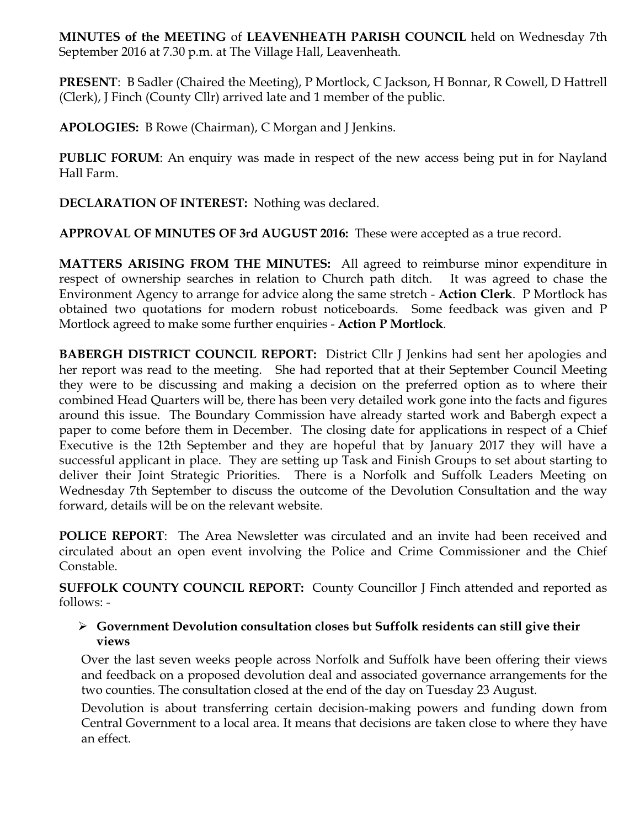**MINUTES of the MEETING** of **LEAVENHEATH PARISH COUNCIL** held on Wednesday 7th September 2016 at 7.30 p.m. at The Village Hall, Leavenheath.

**PRESENT**: B Sadler (Chaired the Meeting), P Mortlock, C Jackson, H Bonnar, R Cowell, D Hattrell (Clerk), J Finch (County Cllr) arrived late and 1 member of the public.

**APOLOGIES:** B Rowe (Chairman), C Morgan and J Jenkins.

**PUBLIC FORUM:** An enquiry was made in respect of the new access being put in for Nayland Hall Farm.

**DECLARATION OF INTEREST:** Nothing was declared.

**APPROVAL OF MINUTES OF 3rd AUGUST 2016:** These were accepted as a true record.

**MATTERS ARISING FROM THE MINUTES:** All agreed to reimburse minor expenditure in respect of ownership searches in relation to Church path ditch. It was agreed to chase the Environment Agency to arrange for advice along the same stretch - **Action Clerk**. P Mortlock has obtained two quotations for modern robust noticeboards. Some feedback was given and P Mortlock agreed to make some further enquiries - **Action P Mortlock**.

**BABERGH DISTRICT COUNCIL REPORT:** District Cllr J Jenkins had sent her apologies and her report was read to the meeting. She had reported that at their September Council Meeting they were to be discussing and making a decision on the preferred option as to where their combined Head Quarters will be, there has been very detailed work gone into the facts and figures around this issue. The Boundary Commission have already started work and Babergh expect a paper to come before them in December. The closing date for applications in respect of a Chief Executive is the 12th September and they are hopeful that by January 2017 they will have a successful applicant in place. They are setting up Task and Finish Groups to set about starting to deliver their Joint Strategic Priorities. There is a Norfolk and Suffolk Leaders Meeting on Wednesday 7th September to discuss the outcome of the Devolution Consultation and the way forward, details will be on the relevant website.

**POLICE REPORT**: The Area Newsletter was circulated and an invite had been received and circulated about an open event involving the Police and Crime Commissioner and the Chief Constable.

**SUFFOLK COUNTY COUNCIL REPORT:** County Councillor J Finch attended and reported as follows: -

## Ø **Government Devolution consultation closes but Suffolk residents can still give their views**

Over the last seven weeks people across Norfolk and Suffolk have been offering their views and feedback on a proposed devolution deal and associated governance arrangements for the two counties. The consultation closed at the end of the day on Tuesday 23 August.

Devolution is about transferring certain decision-making powers and funding down from Central Government to a local area. It means that decisions are taken close to where they have an effect.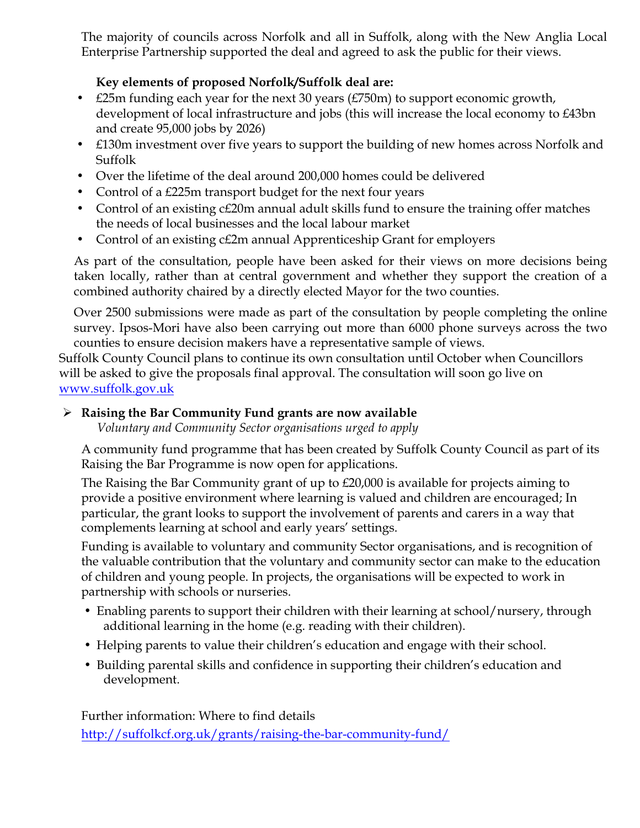The majority of councils across Norfolk and all in Suffolk, along with the New Anglia Local Enterprise Partnership supported the deal and agreed to ask the public for their views.

# **Key elements of proposed Norfolk/Suffolk deal are:**

- £25m funding each year for the next 30 years (£750m) to support economic growth, development of local infrastructure and jobs (this will increase the local economy to £43bn and create 95,000 jobs by 2026)
- £130m investment over five years to support the building of new homes across Norfolk and Suffolk
- Over the lifetime of the deal around 200,000 homes could be delivered
- Control of a £225m transport budget for the next four years
- Control of an existing c£20m annual adult skills fund to ensure the training offer matches the needs of local businesses and the local labour market
- Control of an existing c£2m annual Apprenticeship Grant for employers

As part of the consultation, people have been asked for their views on more decisions being taken locally, rather than at central government and whether they support the creation of a combined authority chaired by a directly elected Mayor for the two counties.

Over 2500 submissions were made as part of the consultation by people completing the online survey. Ipsos-Mori have also been carrying out more than 6000 phone surveys across the two counties to ensure decision makers have a representative sample of views.

Suffolk County Council plans to continue its own consultation until October when Councillors will be asked to give the proposals final approval. The consultation will soon go live on www.suffolk.gov.uk

# Ø **Raising the Bar Community Fund grants are now available**

*Voluntary and Community Sector organisations urged to apply*

A community fund programme that has been created by Suffolk County Council as part of its Raising the Bar Programme is now open for applications.

The Raising the Bar Community grant of up to £20,000 is available for projects aiming to provide a positive environment where learning is valued and children are encouraged; In particular, the grant looks to support the involvement of parents and carers in a way that complements learning at school and early years' settings.

Funding is available to voluntary and community Sector organisations, and is recognition of the valuable contribution that the voluntary and community sector can make to the education of children and young people. In projects, the organisations will be expected to work in partnership with schools or nurseries.

- Enabling parents to support their children with their learning at school/nursery, through additional learning in the home (e.g. reading with their children).
- Helping parents to value their children's education and engage with their school.
- Building parental skills and confidence in supporting their children's education and development.

Further information: Where to find details http://suffolkcf.org.uk/grants/raising-the-bar-community-fund/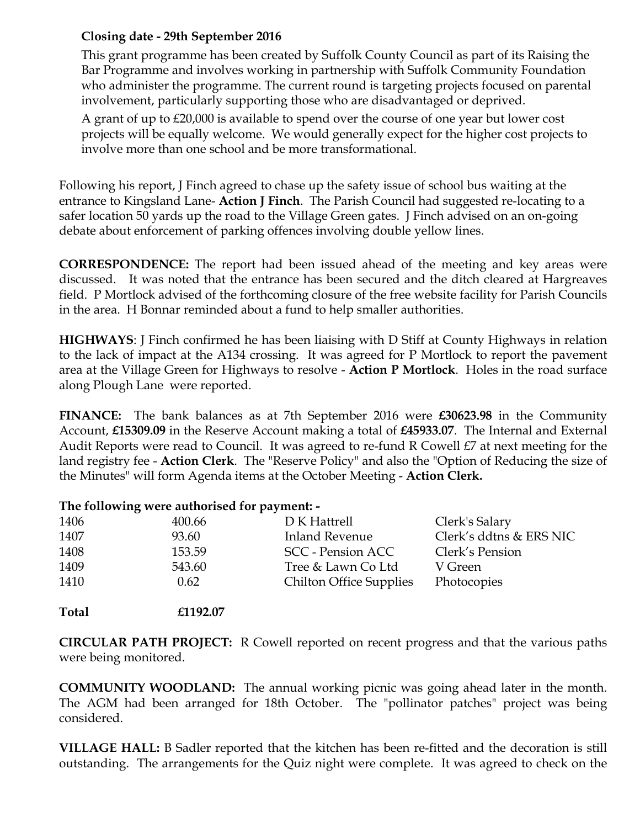## **Closing date - 29th September 2016**

This grant programme has been created by Suffolk County Council as part of its Raising the Bar Programme and involves working in partnership with Suffolk Community Foundation who administer the programme. The current round is targeting projects focused on parental involvement, particularly supporting those who are disadvantaged or deprived.

A grant of up to £20,000 is available to spend over the course of one year but lower cost projects will be equally welcome. We would generally expect for the higher cost projects to involve more than one school and be more transformational.

Following his report, J Finch agreed to chase up the safety issue of school bus waiting at the entrance to Kingsland Lane- **Action J Finch**. The Parish Council had suggested re-locating to a safer location 50 yards up the road to the Village Green gates. J Finch advised on an on-going debate about enforcement of parking offences involving double yellow lines.

**CORRESPONDENCE:** The report had been issued ahead of the meeting and key areas were discussed. It was noted that the entrance has been secured and the ditch cleared at Hargreaves field. P Mortlock advised of the forthcoming closure of the free website facility for Parish Councils in the area. H Bonnar reminded about a fund to help smaller authorities.

**HIGHWAYS**: J Finch confirmed he has been liaising with D Stiff at County Highways in relation to the lack of impact at the A134 crossing. It was agreed for P Mortlock to report the pavement area at the Village Green for Highways to resolve - **Action P Mortlock**. Holes in the road surface along Plough Lane were reported.

**FINANCE:** The bank balances as at 7th September 2016 were **£30623.98** in the Community Account, **£15309.09** in the Reserve Account making a total of **£45933.07**. The Internal and External Audit Reports were read to Council. It was agreed to re-fund R Cowell £7 at next meeting for the land registry fee - **Action Clerk**. The "Reserve Policy" and also the "Option of Reducing the size of the Minutes" will form Agenda items at the October Meeting - **Action Clerk.**

### **The following were authorised for payment: -**

| 1406 | 400.66 | D K Hattrell                   | Clerk's Salary          |
|------|--------|--------------------------------|-------------------------|
| 1407 | 93.60  | <b>Inland Revenue</b>          | Clerk's ddtns & ERS NIC |
| 1408 | 153.59 | SCC - Pension ACC              | Clerk's Pension         |
| 1409 | 543.60 | Tree & Lawn Co Ltd             | V Green                 |
| 1410 | 0.62   | <b>Chilton Office Supplies</b> | Photocopies             |
|      |        |                                |                         |

**Total £1192.07**

**CIRCULAR PATH PROJECT:** R Cowell reported on recent progress and that the various paths were being monitored.

**COMMUNITY WOODLAND:** The annual working picnic was going ahead later in the month. The AGM had been arranged for 18th October. The "pollinator patches" project was being considered.

**VILLAGE HALL:** B Sadler reported that the kitchen has been re-fitted and the decoration is still outstanding. The arrangements for the Quiz night were complete. It was agreed to check on the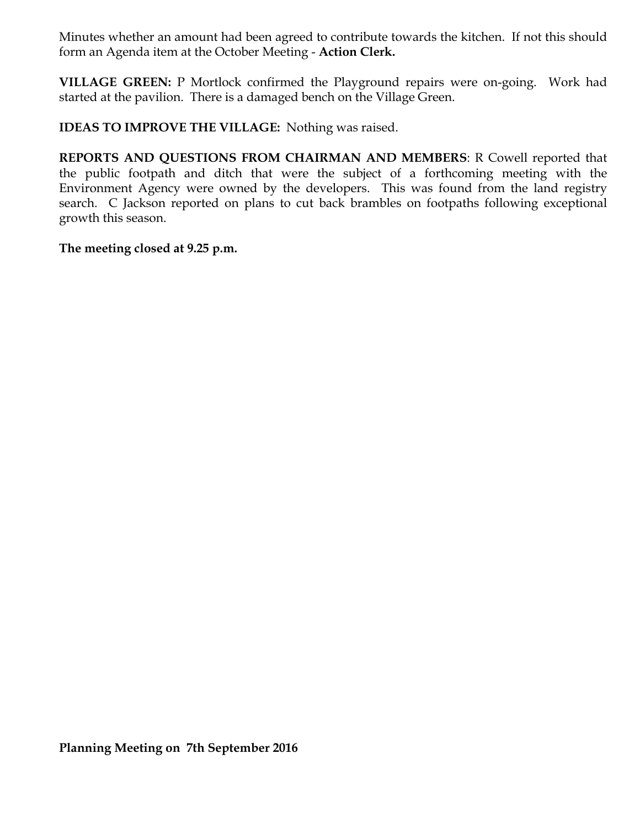Minutes whether an amount had been agreed to contribute towards the kitchen. If not this should form an Agenda item at the October Meeting - **Action Clerk.**

**VILLAGE GREEN:** P Mortlock confirmed the Playground repairs were on-going. Work had started at the pavilion. There is a damaged bench on the Village Green.

**IDEAS TO IMPROVE THE VILLAGE:** Nothing was raised.

**REPORTS AND QUESTIONS FROM CHAIRMAN AND MEMBERS**: R Cowell reported that the public footpath and ditch that were the subject of a forthcoming meeting with the Environment Agency were owned by the developers. This was found from the land registry search. C Jackson reported on plans to cut back brambles on footpaths following exceptional growth this season.

**The meeting closed at 9.25 p.m.**